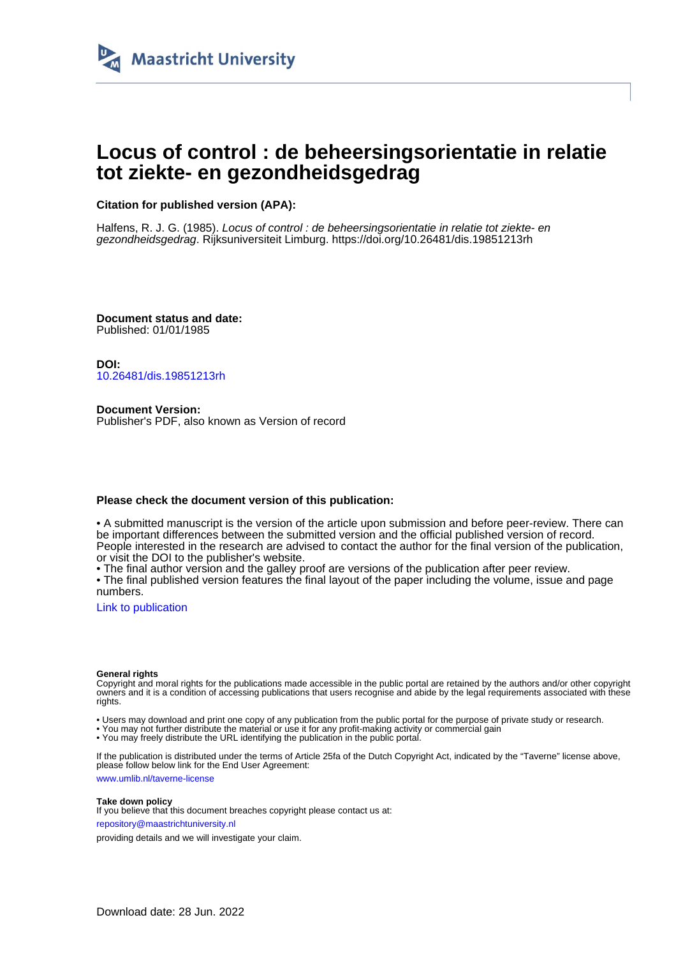

# **Locus of control : de beheersingsorientatie in relatie tot ziekte- en gezondheidsgedrag**

**Citation for published version (APA):**

Halfens, R. J. G. (1985). Locus of control : de beheersingsorientatie in relatie tot ziekte- en gezondheidsgedrag. Rijksuniversiteit Limburg.<https://doi.org/10.26481/dis.19851213rh>

**Document status and date:** Published: 01/01/1985

**DOI:** [10.26481/dis.19851213rh](https://doi.org/10.26481/dis.19851213rh)

**Document Version:** Publisher's PDF, also known as Version of record

## **Please check the document version of this publication:**

• A submitted manuscript is the version of the article upon submission and before peer-review. There can be important differences between the submitted version and the official published version of record. People interested in the research are advised to contact the author for the final version of the publication, or visit the DOI to the publisher's website.

• The final author version and the galley proof are versions of the publication after peer review.

• The final published version features the final layout of the paper including the volume, issue and page numbers.

[Link to publication](https://cris.maastrichtuniversity.nl/en/publications/26b991d8-04a7-4dea-9871-df94602dd3f5)

#### **General rights**

Copyright and moral rights for the publications made accessible in the public portal are retained by the authors and/or other copyright owners and it is a condition of accessing publications that users recognise and abide by the legal requirements associated with these rights.

• Users may download and print one copy of any publication from the public portal for the purpose of private study or research.

• You may not further distribute the material or use it for any profit-making activity or commercial gain

• You may freely distribute the URL identifying the publication in the public portal.

If the publication is distributed under the terms of Article 25fa of the Dutch Copyright Act, indicated by the "Taverne" license above, please follow below link for the End User Agreement:

www.umlib.nl/taverne-license

### **Take down policy**

If you believe that this document breaches copyright please contact us at: repository@maastrichtuniversity.nl

providing details and we will investigate your claim.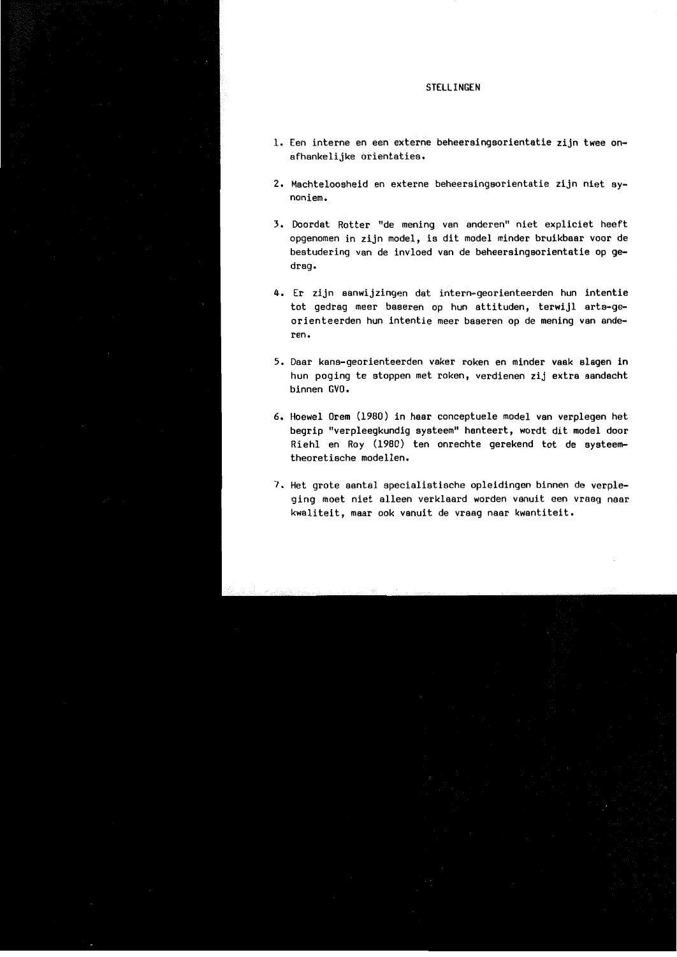#### STELL INGEN

- 1. Een interne en een externe beheersingsorientatie zijn twee onafhankelijke orientaties.
- 2. Machteloosheid en externe beheersingsorientatie zijn niet svnoniem.
- 3. Doordat Rotter "de mening van anderen" niet expliciet heeft opgenomen in zijn model, is dit model minder bruikbaar voor de bestudering van de invloed van de beheersingsorientatie op gedrag.
- 4. Er zijn aanwijzingen dat intern-georienteerden hun intentie tot gedrag meer baseren op hun attituden, terwijl arts-georienteerden hun intentie meer baseren op de mening van anderen.
- 5. Daar kans-georienteerden vaker roken en minder vaak slagen in hun poging te stoppen met roken, verdienen zij extra aandacht hinnen GVO.
- 6. Hoewel Orem (1980) in haar conceptuele model van verplegen het begrip "verpleegkundig systeem" hanteert, wordt dit model door Riehl en Roy (1980) ten onrechte gerekend tot de systeemtheoretische modellen.
- 7. Het grote aantal specialistische opleidingen binnen de verpleging moet niet alleen verklaard worden vanuit een vraag naar kwaliteit, maar ook vanuit de vraag naar kwantiteit.